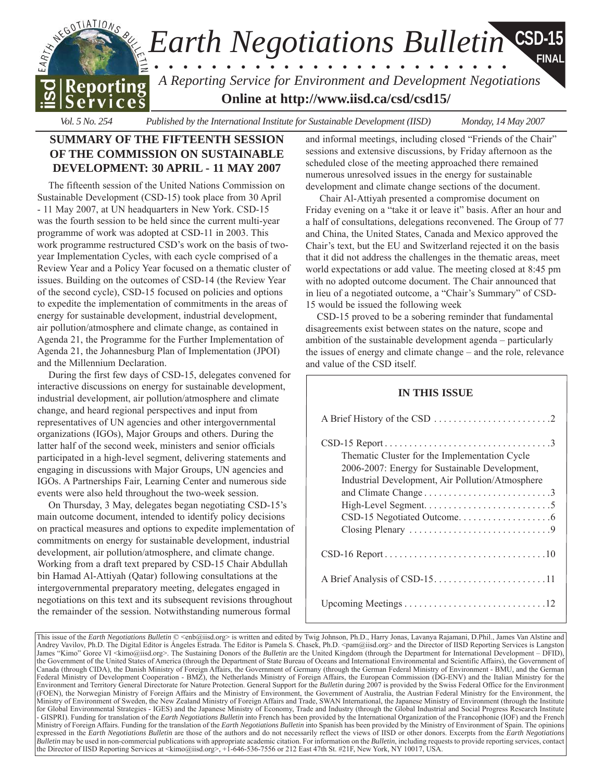

*Vol. 5 No. 254 Published by the International Institute for Sustainable Development (IISD) Monday, 14 May 2007*

# **SUMMARY OF THE FIFTEENTH SESSION OF THE COMMISSION ON SUSTAINABLE DEVELOPMENT: 30 APRIL - 11 MAY 2007**

The fifteenth session of the United Nations Commission on Sustainable Development (CSD-15) took place from 30 April - 11 May 2007, at UN headquarters in New York. CSD-15 was the fourth session to be held since the current multi-year programme of work was adopted at CSD-11 in 2003. This work programme restructured CSD's work on the basis of twoyear Implementation Cycles, with each cycle comprised of a Review Year and a Policy Year focused on a thematic cluster of issues. Building on the outcomes of CSD-14 (the Review Year of the second cycle), CSD-15 focused on policies and options to expedite the implementation of commitments in the areas of energy for sustainable development, industrial development, air pollution/atmosphere and climate change, as contained in Agenda 21, the Programme for the Further Implementation of Agenda 21, the Johannesburg Plan of Implementation (JPOI) and the Millennium Declaration.

During the first few days of CSD-15, delegates convened for interactive discussions on energy for sustainable development, industrial development, air pollution/atmosphere and climate change, and heard regional perspectives and input from representatives of UN agencies and other intergovernmental organizations (IGOs), Major Groups and others. During the latter half of the second week, ministers and senior officials participated in a high-level segment, delivering statements and engaging in discussions with Major Groups, UN agencies and IGOs. A Partnerships Fair, Learning Center and numerous side events were also held throughout the two-week session.

On Thursday, 3 May, delegates began negotiating CSD-15's main outcome document, intended to identify policy decisions on practical measures and options to expedite implementation of commitments on energy for sustainable development, industrial development, air pollution/atmosphere, and climate change. Working from a draft text prepared by CSD-15 Chair Abdullah bin Hamad Al-Attiyah (Qatar) following consultations at the intergovernmental preparatory meeting, delegates engaged in negotiations on this text and its subsequent revisions throughout the remainder of the session. Notwithstanding numerous formal

and informal meetings, including closed "Friends of the Chair" sessions and extensive discussions, by Friday afternoon as the scheduled close of the meeting approached there remained numerous unresolved issues in the energy for sustainable development and climate change sections of the document.

 Chair Al-Attiyah presented a compromise document on Friday evening on a "take it or leave it" basis. After an hour and a half of consultations, delegations reconvened. The Group of 77 and China, the United States, Canada and Mexico approved the Chair's text, but the EU and Switzerland rejected it on the basis that it did not address the challenges in the thematic areas, meet world expectations or add value. The meeting closed at 8:45 pm with no adopted outcome document. The Chair announced that in lieu of a negotiated outcome, a "Chair's Summary" of CSD-15 would be issued the following week

CSD-15 proved to be a sobering reminder that fundamental disagreements exist between states on the nature, scope and ambition of the sustainable development agenda – particularly the issues of energy and climate change – and the role, relevance and value of the CSD itself.

# **IN THIS ISSUE**

| Thematic Cluster for the Implementation Cycle<br>2006-2007: Energy for Sustainable Development,<br>Industrial Development, Air Pollution/Atmosphere |
|-----------------------------------------------------------------------------------------------------------------------------------------------------|
|                                                                                                                                                     |
|                                                                                                                                                     |
|                                                                                                                                                     |

This issue of the *Earth Negotiations Bulletin*  $\mathbb{O} \leq$  hb $\omega$ isd.org> is written and edited by Twig Johnson, Ph.D., Harry Jonas, Lavanya Rajamani, D.Phil., James Van Alstine and Andrey Vavilov, Ph.D. The Digital Editor is Angeles Estrada. The Editor is Pamela S. Chasek, Ph.D. [<pam@iisd.org>](mailto:pam@iisd.org) and the Director of IISD Reporting Services is Langston James "Kimo" Goree VI [<kimo@iisd.org>](mailto:kimo@iisd.org). The Sustaining Donors of the *Bulletin* are the United Kingdom (through the Department for International Development – DFID) the Government of the United States of America (through the Department of State Bureau of Oceans and International Environmental and Scientific Affairs), the Government of Canada (through CIDA), the Danish Ministry of Foreign Affairs, the Government of Germany (through the German Federal Ministry of Environment - BMU, and the German Federal Ministry of Development Cooperation - BMZ), the Netherlands Ministry of Foreign Affairs, the European Commission (DG-ENV) and the Italian Ministry for the Environment and Territory General Directorate for Nature Protection. General Support for the *Bulletin* during 2007 is provided by the Swiss Federal Office for the Environment (FOEN), the Norwegian Ministry of Foreign Affairs and the Ministry of Environment, the Government of Australia, the Austrian Federal Ministry for the Environment, the Ministry of Environment of Sweden, the New Zealand Ministry of Foreign Affairs and Trade, SWAN International, the Japanese Ministry of Environment (through the Institute for Global Environmental Strategies - IGES) and the Japanese Ministry of Economy, Trade and Industry (through the Global Industrial and Social Progress Research Institute - GISPRI). Funding for translation of the *Earth Negotiations Bulletin* into French has been provided by the International Organization of the Francophonie (IOF) and the French Ministry of Foreign Affairs. Funding for the translation of the *Earth Negotiations Bulletin* into Spanish has been provided by the Ministry of Environment of Spain. The opinions expressed in the *Earth Negotiations Bulletin* are those of the authors and do not necessarily reflect the views of IISD or other donors. Excerpts from the *Earth Negotiations Bulletin* may be used in non-commercial publications with appropriate academic citation. For information on the *Bulletin*, including requests to provide reporting services, contact the Director of IISD Reporting Services at [<kimo@iisd.org>](mailto:kimo@iisd.org), +1-646-536-7556 or 212 East 47th St. #21F, New York, NY 10017, USA.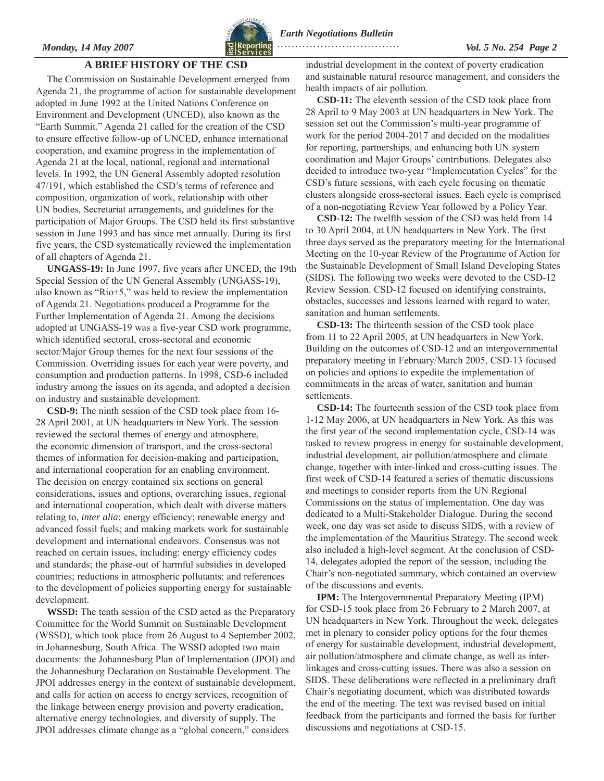

<span id="page-1-0"></span>*Monday, 14 May 2007 Vol. 5 No. 254 Page 2*   **. . . . . . . . . . . . . . . . . . . . . . . . . . . . . . . . . .** 

### **A BRIEF HISTORY OF THE CSD**

The Commission on Sustainable Development emerged from Agenda 21, the programme of action for sustainable development adopted in June 1992 at the United Nations Conference on Environment and Development (UNCED), also known as the ìEarth Summit.î Agenda 21 called for the creation of the CSD to ensure effective follow-up of UNCED, enhance international cooperation, and examine progress in the implementation of Agenda 21 at the local, national, regional and international levels. In 1992, the UN General Assembly adopted resolution 47/191, which established the CSD's terms of reference and composition, organization of work, relationship with other UN bodies, Secretariat arrangements, and guidelines for the participation of Major Groups. The CSD held its first substantive session in June 1993 and has since met annually. During its first five years, the CSD systematically reviewed the implementation of all chapters of Agenda 21.

**UNGASS-19:** In June 1997, five years after UNCED, the 19th Special Session of the UN General Assembly (UNGASS-19), also known as " $Rio+5$ ," was held to review the implementation of Agenda 21. Negotiations produced a Programme for the Further Implementation of Agenda 21. Among the decisions adopted at UNGASS-19 was a five-year CSD work programme, which identified sectoral, cross-sectoral and economic sector/Major Group themes for the next four sessions of the Commission. Overriding issues for each year were poverty, and consumption and production patterns. In 1998, CSD-6 included industry among the issues on its agenda, and adopted a decision on industry and sustainable development.

**CSD-9:** The ninth session of the CSD took place from 16- 28 April 2001, at UN headquarters in New York. The session reviewed the sectoral themes of energy and atmosphere, the economic dimension of transport, and the cross-sectoral themes of information for decision-making and participation, and international cooperation for an enabling environment. The decision on energy contained six sections on general considerations, issues and options, overarching issues, regional and international cooperation, which dealt with diverse matters relating to, *inter alia*: energy efficiency; renewable energy and advanced fossil fuels; and making markets work for sustainable development and international endeavors. Consensus was not reached on certain issues, including: energy efficiency codes and standards; the phase-out of harmful subsidies in developed countries; reductions in atmospheric pollutants; and references to the development of policies supporting energy for sustainable development.

**WSSD:** The tenth session of the CSD acted as the Preparatory Committee for the World Summit on Sustainable Development (WSSD), which took place from 26 August to 4 September 2002, in Johannesburg, South Africa. The WSSD adopted two main documents: the Johannesburg Plan of Implementation (JPOI) and the Johannesburg Declaration on Sustainable Development. The JPOI addresses energy in the context of sustainable development, and calls for action on access to energy services, recognition of the linkage between energy provision and poverty eradication, alternative energy technologies, and diversity of supply. The JPOI addresses climate change as a "global concern," considers

industrial development in the context of poverty eradication and sustainable natural resource management, and considers the health impacts of air pollution.

**CSD-11:** The eleventh session of the CSD took place from 28 April to 9 May 2003 at UN headquarters in New York. The session set out the Commission's multi-year programme of work for the period 2004-2017 and decided on the modalities for reporting, partnerships, and enhancing both UN system coordination and Major Groups' contributions. Delegates also decided to introduce two-year "Implementation Cycles" for the CSD's future sessions, with each cycle focusing on thematic clusters alongside cross-sectoral issues. Each cycle is comprised of a non-negotiating Review Year followed by a Policy Year.

**CSD-12:** The twelfth session of the CSD was held from 14 to 30 April 2004, at UN headquarters in New York. The first three days served as the preparatory meeting for the International Meeting on the 10-year Review of the Programme of Action for the Sustainable Development of Small Island Developing States (SIDS). The following two weeks were devoted to the CSD-12 Review Session. CSD-12 focused on identifying constraints, obstacles, successes and lessons learned with regard to water, sanitation and human settlements.

**CSD-13:** The thirteenth session of the CSD took place from 11 to 22 April 2005, at UN headquarters in New York. Building on the outcomes of CSD-12 and an intergovernmental preparatory meeting in February/March 2005, CSD-13 focused on policies and options to expedite the implementation of commitments in the areas of water, sanitation and human settlements.

**CSD-14:** The fourteenth session of the CSD took place from 1-12 May 2006, at UN headquarters in New York. As this was the first year of the second implementation cycle, CSD-14 was tasked to review progress in energy for sustainable development, industrial development, air pollution/atmosphere and climate change, together with inter-linked and cross-cutting issues. The first week of CSD-14 featured a series of thematic discussions and meetings to consider reports from the UN Regional Commissions on the status of implementation. One day was dedicated to a Multi-Stakeholder Dialogue. During the second week, one day was set aside to discuss SIDS, with a review of the implementation of the Mauritius Strategy. The second week also included a high-level segment. At the conclusion of CSD-14, delegates adopted the report of the session, including the Chair's non-negotiated summary, which contained an overview of the discussions and events.

**IPM:** The Intergovernmental Preparatory Meeting (IPM) for CSD-15 took place from 26 February to 2 March 2007, at UN headquarters in New York. Throughout the week, delegates met in plenary to consider policy options for the four themes of energy for sustainable development, industrial development, air pollution/atmosphere and climate change, as well as interlinkages and cross-cutting issues. There was also a session on SIDS. These deliberations were reflected in a preliminary draft Chair's negotiating document, which was distributed towards the end of the meeting. The text was revised based on initial feedback from the participants and formed the basis for further discussions and negotiations at CSD-15.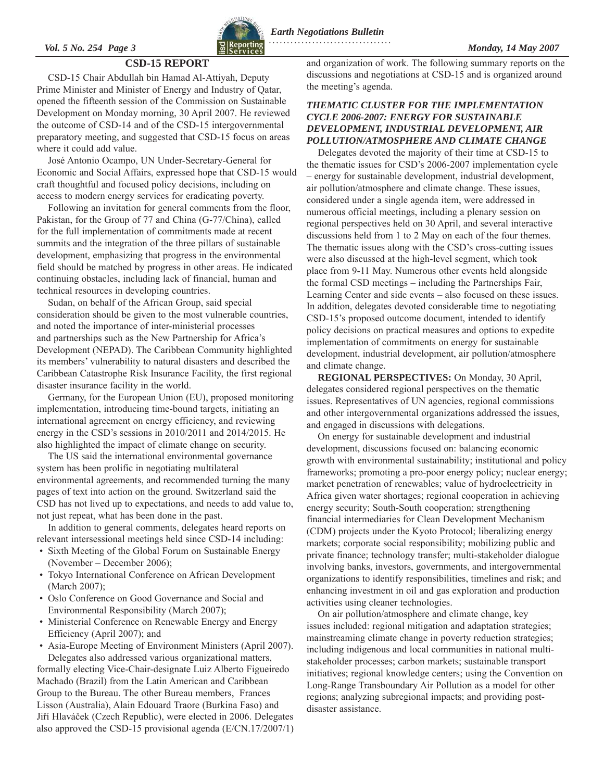

### **CSD-15 REPORT**

<span id="page-2-0"></span>CSD-15 Chair Abdullah bin Hamad Al-Attiyah, Deputy Prime Minister and Minister of Energy and Industry of Qatar, opened the fifteenth session of the Commission on Sustainable Development on Monday morning, 30 April 2007. He reviewed the outcome of CSD-14 and of the CSD-15 intergovernmental preparatory meeting, and suggested that CSD-15 focus on areas where it could add value.

JosÈ Antonio Ocampo, UN Under-Secretary-General for Economic and Social Affairs, expressed hope that CSD-15 would craft thoughtful and focused policy decisions, including on access to modern energy services for eradicating poverty.

Following an invitation for general comments from the floor, Pakistan, for the Group of 77 and China (G-77/China), called for the full implementation of commitments made at recent summits and the integration of the three pillars of sustainable development, emphasizing that progress in the environmental field should be matched by progress in other areas. He indicated continuing obstacles, including lack of financial, human and technical resources in developing countries.

Sudan, on behalf of the African Group, said special consideration should be given to the most vulnerable countries, and noted the importance of inter-ministerial processes and partnerships such as the New Partnership for Africa's Development (NEPAD). The Caribbean Community highlighted its members' vulnerability to natural disasters and described the Caribbean Catastrophe Risk Insurance Facility, the first regional disaster insurance facility in the world.

Germany, for the European Union (EU), proposed monitoring implementation, introducing time-bound targets, initiating an international agreement on energy efficiency, and reviewing energy in the CSD's sessions in 2010/2011 and 2014/2015. He also highlighted the impact of climate change on security.

The US said the international environmental governance system has been prolific in negotiating multilateral environmental agreements, and recommended turning the many pages of text into action on the ground. Switzerland said the CSD has not lived up to expectations, and needs to add value to, not just repeat, what has been done in the past.

In addition to general comments, delegates heard reports on relevant intersessional meetings held since CSD-14 including:

- Sixth Meeting of the Global Forum on Sustainable Energy  $(November - December 2006);$
- Tokyo International Conference on African Development (March 2007);
- Oslo Conference on Good Governance and Social and Environmental Responsibility (March 2007);
- Ministerial Conference on Renewable Energy and Energy Efficiency (April 2007); and
- Asia-Europe Meeting of Environment Ministers (April 2007). Delegates also addressed various organizational matters,

formally electing Vice-Chair-designate Luiz Alberto Figueiredo Machado (Brazil) from the Latin American and Caribbean Group to the Bureau. The other Bureau members, Frances Lisson (Australia), Alain Edouard Traore (Burkina Faso) and Jiří Hlaváček (Czech Republic), were elected in 2006. Delegates also approved the CSD-15 provisional agenda (E/CN.17/2007/1) and organization of work. The following summary reports on the discussions and negotiations at CSD-15 and is organized around the meeting's agenda.

### *THEMATIC CLUSTER FOR THE IMPLEMENTATION CYCLE 2006-2007: ENERGY FOR SUSTAINABLE DEVELOPMENT, INDUSTRIAL DEVELOPMENT, AIR POLLUTION/ATMOSPHERE AND CLIMATE CHANGE*

Delegates devoted the majority of their time at CSD-15 to the thematic issues for CSD's 2006-2007 implementation cycle – energy for sustainable development, industrial development, air pollution/atmosphere and climate change. These issues, considered under a single agenda item, were addressed in numerous official meetings, including a plenary session on regional perspectives held on 30 April, and several interactive discussions held from 1 to 2 May on each of the four themes. The thematic issues along with the CSD's cross-cutting issues were also discussed at the high-level segment, which took place from 9-11 May. Numerous other events held alongside the formal CSD meetings  $-$  including the Partnerships Fair, Learning Center and side events – also focused on these issues. In addition, delegates devoted considerable time to negotiating CSD-15's proposed outcome document, intended to identify policy decisions on practical measures and options to expedite implementation of commitments on energy for sustainable development, industrial development, air pollution/atmosphere and climate change.

**REGIONAL PERSPECTIVES:** On Monday, 30 April, delegates considered regional perspectives on the thematic issues. Representatives of UN agencies, regional commissions and other intergovernmental organizations addressed the issues, and engaged in discussions with delegations.

On energy for sustainable development and industrial development, discussions focused on: balancing economic growth with environmental sustainability; institutional and policy frameworks; promoting a pro-poor energy policy; nuclear energy; market penetration of renewables; value of hydroelectricity in Africa given water shortages; regional cooperation in achieving energy security; South-South cooperation; strengthening financial intermediaries for Clean Development Mechanism (CDM) projects under the Kyoto Protocol; liberalizing energy markets; corporate social responsibility; mobilizing public and private finance; technology transfer; multi-stakeholder dialogue involving banks, investors, governments, and intergovernmental organizations to identify responsibilities, timelines and risk; and enhancing investment in oil and gas exploration and production activities using cleaner technologies.

On air pollution/atmosphere and climate change, key issues included: regional mitigation and adaptation strategies; mainstreaming climate change in poverty reduction strategies; including indigenous and local communities in national multistakeholder processes; carbon markets; sustainable transport initiatives; regional knowledge centers; using the Convention on Long-Range Transboundary Air Pollution as a model for other regions; analyzing subregional impacts; and providing postdisaster assistance.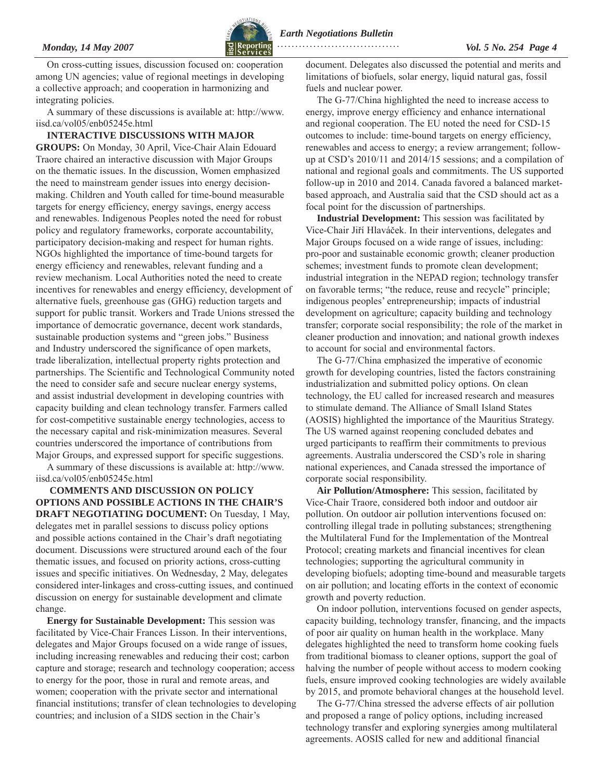

*Monday, 14 May 2007 Vol. 5 No. 254 Page 4*   **. . . . . . . . . . . . . . . . . . . . . . . . . . . . . . . . . .** 

On cross-cutting issues, discussion focused on: cooperation among UN agencies; value of regional meetings in developing a collective approach; and cooperation in harmonizing and integrating policies.

A summary of these discussions is available at: [http://www.](http://www.iisd.ca/vol05/enb05245e.html) [iisd.ca/vol05/enb05245e.html](http://www.iisd.ca/vol05/enb05245e.html)

**INTERACTIVE DISCUSSIONS WITH MAJOR GROUPS:** On Monday, 30 April, Vice-Chair Alain Edouard Traore chaired an interactive discussion with Major Groups on the thematic issues. In the discussion, Women emphasized the need to mainstream gender issues into energy decisionmaking. Children and Youth called for time-bound measurable targets for energy efficiency, energy savings, energy access and renewables. Indigenous Peoples noted the need for robust policy and regulatory frameworks, corporate accountability, participatory decision-making and respect for human rights. NGOs highlighted the importance of time-bound targets for energy efficiency and renewables, relevant funding and a review mechanism. Local Authorities noted the need to create incentives for renewables and energy efficiency, development of alternative fuels, greenhouse gas (GHG) reduction targets and support for public transit. Workers and Trade Unions stressed the importance of democratic governance, decent work standards, sustainable production systems and "green jobs." Business and Industry underscored the significance of open markets, trade liberalization, intellectual property rights protection and partnerships. The Scientific and Technological Community noted the need to consider safe and secure nuclear energy systems, and assist industrial development in developing countries with capacity building and clean technology transfer. Farmers called for cost-competitive sustainable energy technologies, access to the necessary capital and risk-minimization measures. Several countries underscored the importance of contributions from Major Groups, and expressed support for specific suggestions.

A summary of these discussions is available at: [http://www.](http://www.iisd.ca/vol05/enb05245e.html) [iisd.ca/vol05/enb05245e.html](http://www.iisd.ca/vol05/enb05245e.html) 

**COMMENTS AND DISCUSSION ON POLICY OPTIONS AND POSSIBLE ACTIONS IN THE CHAIR'S DRAFT NEGOTIATING DOCUMENT:** On Tuesday, 1 May, delegates met in parallel sessions to discuss policy options and possible actions contained in the Chair's draft negotiating document. Discussions were structured around each of the four thematic issues, and focused on priority actions, cross-cutting issues and specific initiatives. On Wednesday, 2 May, delegates considered inter-linkages and cross-cutting issues, and continued discussion on energy for sustainable development and climate change.

**Energy for Sustainable Development:** This session was facilitated by Vice-Chair Frances Lisson. In their interventions, delegates and Major Groups focused on a wide range of issues, including increasing renewables and reducing their cost; carbon capture and storage; research and technology cooperation; access to energy for the poor, those in rural and remote areas, and women; cooperation with the private sector and international financial institutions; transfer of clean technologies to developing countries; and inclusion of a SIDS section in the Chair's

document. Delegates also discussed the potential and merits and limitations of biofuels, solar energy, liquid natural gas, fossil fuels and nuclear power.

The G-77/China highlighted the need to increase access to energy, improve energy efficiency and enhance international and regional cooperation. The EU noted the need for CSD-15 outcomes to include: time-bound targets on energy efficiency, renewables and access to energy; a review arrangement; followup at CSD's 2010/11 and 2014/15 sessions; and a compilation of national and regional goals and commitments. The US supported follow-up in 2010 and 2014. Canada favored a balanced marketbased approach, and Australia said that the CSD should act as a focal point for the discussion of partnerships.

**Industrial Development:** This session was facilitated by Vice-Chair Jiří Hlaváček. In their interventions, delegates and Major Groups focused on a wide range of issues, including: pro-poor and sustainable economic growth; cleaner production schemes; investment funds to promote clean development; industrial integration in the NEPAD region; technology transfer on favorable terms; "the reduce, reuse and recycle" principle; indigenous peoples' entrepreneurship; impacts of industrial development on agriculture; capacity building and technology transfer; corporate social responsibility; the role of the market in cleaner production and innovation; and national growth indexes to account for social and environmental factors.

The G-77/China emphasized the imperative of economic growth for developing countries, listed the factors constraining industrialization and submitted policy options. On clean technology, the EU called for increased research and measures to stimulate demand. The Alliance of Small Island States (AOSIS) highlighted the importance of the Mauritius Strategy. The US warned against reopening concluded debates and urged participants to reaffirm their commitments to previous agreements. Australia underscored the CSD's role in sharing national experiences, and Canada stressed the importance of corporate social responsibility.

**Air Pollution/Atmosphere:** This session, facilitated by Vice-Chair Traore, considered both indoor and outdoor air pollution. On outdoor air pollution interventions focused on: controlling illegal trade in polluting substances; strengthening the Multilateral Fund for the Implementation of the Montreal Protocol; creating markets and financial incentives for clean technologies; supporting the agricultural community in developing biofuels; adopting time-bound and measurable targets on air pollution; and locating efforts in the context of economic growth and poverty reduction.

On indoor pollution, interventions focused on gender aspects, capacity building, technology transfer, financing, and the impacts of poor air quality on human health in the workplace. Many delegates highlighted the need to transform home cooking fuels from traditional biomass to cleaner options, support the goal of halving the number of people without access to modern cooking fuels, ensure improved cooking technologies are widely available by 2015, and promote behavioral changes at the household level.

The G-77/China stressed the adverse effects of air pollution and proposed a range of policy options, including increased technology transfer and exploring synergies among multilateral agreements. AOSIS called for new and additional financial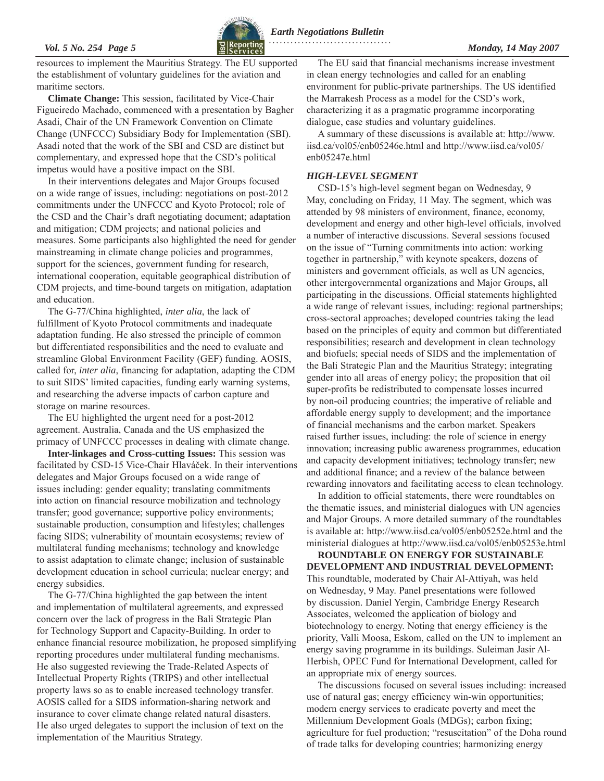

<span id="page-4-0"></span>resources to implement the Mauritius Strategy. The EU supported the establishment of voluntary guidelines for the aviation and maritime sectors.

**Climate Change:** This session, facilitated by Vice-Chair Figueiredo Machado, commenced with a presentation by Bagher Asadi, Chair of the UN Framework Convention on Climate Change (UNFCCC) Subsidiary Body for Implementation (SBI). Asadi noted that the work of the SBI and CSD are distinct but complementary, and expressed hope that the CSD's political impetus would have a positive impact on the SBI.

In their interventions delegates and Major Groups focused on a wide range of issues, including: negotiations on post-2012 commitments under the UNFCCC and Kyoto Protocol; role of the CSD and the Chair's draft negotiating document; adaptation and mitigation; CDM projects; and national policies and measures. Some participants also highlighted the need for gender mainstreaming in climate change policies and programmes, support for the sciences, government funding for research, international cooperation, equitable geographical distribution of CDM projects, and time-bound targets on mitigation, adaptation and education.

The G-77/China highlighted, *inter alia*, the lack of fulfillment of Kyoto Protocol commitments and inadequate adaptation funding. He also stressed the principle of common but differentiated responsibilities and the need to evaluate and streamline Global Environment Facility (GEF) funding. AOSIS, called for, *inter alia*, financing for adaptation, adapting the CDM to suit SIDS' limited capacities, funding early warning systems, and researching the adverse impacts of carbon capture and storage on marine resources.

The EU highlighted the urgent need for a post-2012 agreement. Australia, Canada and the US emphasized the primacy of UNFCCC processes in dealing with climate change.

**Inter-linkages and Cross-cutting Issues:** This session was facilitated by CSD-15 Vice-Chair Hlaváček. In their interventions delegates and Major Groups focused on a wide range of issues including: gender equality; translating commitments into action on financial resource mobilization and technology transfer; good governance; supportive policy environments; sustainable production, consumption and lifestyles; challenges facing SIDS; vulnerability of mountain ecosystems; review of multilateral funding mechanisms; technology and knowledge to assist adaptation to climate change; inclusion of sustainable development education in school curricula; nuclear energy; and energy subsidies.

The G-77/China highlighted the gap between the intent and implementation of multilateral agreements, and expressed concern over the lack of progress in the Bali Strategic Plan for Technology Support and Capacity-Building. In order to enhance financial resource mobilization, he proposed simplifying reporting procedures under multilateral funding mechanisms. He also suggested reviewing the Trade-Related Aspects of Intellectual Property Rights (TRIPS) and other intellectual property laws so as to enable increased technology transfer. AOSIS called for a SIDS information-sharing network and insurance to cover climate change related natural disasters. He also urged delegates to support the inclusion of text on the implementation of the Mauritius Strategy.

The EU said that financial mechanisms increase investment in clean energy technologies and called for an enabling environment for public-private partnerships. The US identified the Marrakesh Process as a model for the CSD's work, characterizing it as a pragmatic programme incorporating dialogue, case studies and voluntary guidelines.

A summary of these discussions is available at: [http://www.](http://www.iisd.ca/vol05/enb05246e.htm) [iisd.ca/vol05/enb05246e.html](http://www.iisd.ca/vol05/enb05246e.htm) and [http://www.iisd.ca/vol05/](http://www.iisd.ca/vol05/enb05247e.html) [enb05247e.html](http://www.iisd.ca/vol05/enb05247e.html) 

### *HIGH-LEVEL SEGMENT*

CSD-15's high-level segment began on Wednesday, 9 May, concluding on Friday, 11 May. The segment, which was attended by 98 ministers of environment, finance, economy, development and energy and other high-level officials, involved a number of interactive discussions. Several sessions focused on the issue of "Turning commitments into action: working together in partnership," with keynote speakers, dozens of ministers and government officials, as well as UN agencies, other intergovernmental organizations and Major Groups, all participating in the discussions. Official statements highlighted a wide range of relevant issues, including: regional partnerships; cross-sectoral approaches; developed countries taking the lead based on the principles of equity and common but differentiated responsibilities; research and development in clean technology and biofuels; special needs of SIDS and the implementation of the Bali Strategic Plan and the Mauritius Strategy; integrating gender into all areas of energy policy; the proposition that oil super-profits be redistributed to compensate losses incurred by non-oil producing countries; the imperative of reliable and affordable energy supply to development; and the importance of financial mechanisms and the carbon market. Speakers raised further issues, including: the role of science in energy innovation; increasing public awareness programmes, education and capacity development initiatives; technology transfer; new and additional finance; and a review of the balance between rewarding innovators and facilitating access to clean technology.

In addition to official statements, there were roundtables on the thematic issues, and ministerial dialogues with UN agencies and Major Groups. A more detailed summary of the roundtables is available at:<http://www.iisd.ca/vol05/enb05252e.html>and the ministerial dialogues at<http://www.iisd.ca/vol05/enb05253e.html>

**ROUNDTABLE ON ENERGY FOR SUSTAINABLE DEVELOPMENT AND INDUSTRIAL DEVELOPMENT:**  This roundtable, moderated by Chair Al-Attiyah, was held on Wednesday, 9 May. Panel presentations were followed by discussion. Daniel Yergin, Cambridge Energy Research Associates, welcomed the application of biology and biotechnology to energy. Noting that energy efficiency is the priority, Valli Moosa, Eskom, called on the UN to implement an energy saving programme in its buildings. Suleiman Jasir Al-Herbish, OPEC Fund for International Development, called for an appropriate mix of energy sources.

The discussions focused on several issues including: increased use of natural gas; energy efficiency win-win opportunities; modern energy services to eradicate poverty and meet the Millennium Development Goals (MDGs); carbon fixing; agriculture for fuel production; "resuscitation" of the Doha round of trade talks for developing countries; harmonizing energy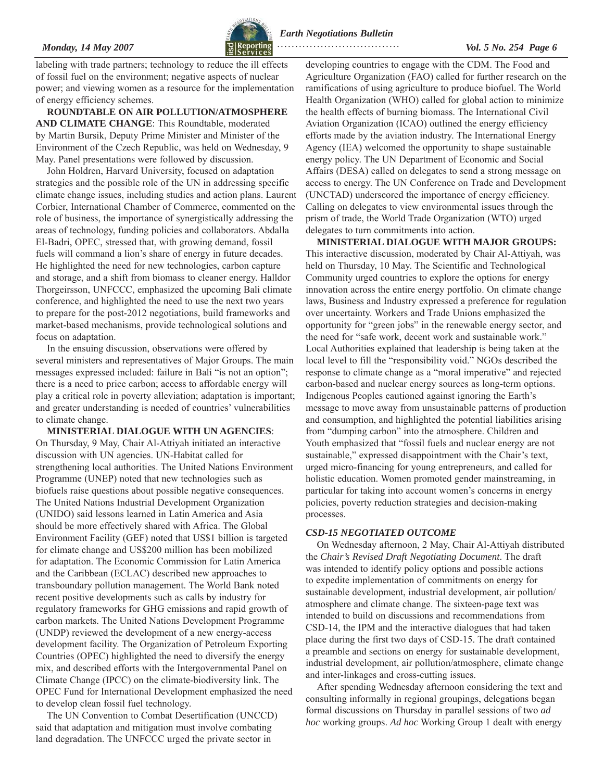### <span id="page-5-0"></span>*Monday, 14 May 2007 Vol. 5 No. 254 Page 6*



*Earth Negotiations Bulletin*  **. . . . . . . . . . . . . . . . . . . . . . . . . . . . . . . . . .** 

labeling with trade partners; technology to reduce the ill effects of fossil fuel on the environment; negative aspects of nuclear power; and viewing women as a resource for the implementation of energy efficiency schemes.

**ROUNDTABLE ON AIR POLLUTION/ATMOSPHERE AND CLIMATE CHANGE**: This Roundtable, moderated by Martin Bursik, Deputy Prime Minister and Minister of the Environment of the Czech Republic, was held on Wednesday, 9 May. Panel presentations were followed by discussion.

John Holdren, Harvard University, focused on adaptation strategies and the possible role of the UN in addressing specific climate change issues, including studies and action plans. Laurent Corbier, International Chamber of Commerce, commented on the role of business, the importance of synergistically addressing the areas of technology, funding policies and collaborators. Abdalla El-Badri, OPEC, stressed that, with growing demand, fossil fuels will command a lion's share of energy in future decades. He highlighted the need for new technologies, carbon capture and storage, and a shift from biomass to cleaner energy. Halldor Thorgeirsson, UNFCCC, emphasized the upcoming Bali climate conference, and highlighted the need to use the next two years to prepare for the post-2012 negotiations, build frameworks and market-based mechanisms, provide technological solutions and focus on adaptation.

In the ensuing discussion, observations were offered by several ministers and representatives of Major Groups. The main messages expressed included: failure in Bali "is not an option"; there is a need to price carbon; access to affordable energy will play a critical role in poverty alleviation; adaptation is important; and greater understanding is needed of countries' vulnerabilities to climate change.

#### **MINISTERIAL DIALOGUE WITH UN AGENCIES**:

On Thursday, 9 May, Chair Al-Attiyah initiated an interactive discussion with UN agencies. UN-Habitat called for strengthening local authorities. The United Nations Environment Programme (UNEP) noted that new technologies such as biofuels raise questions about possible negative consequences. The United Nations Industrial Development Organization (UNIDO) said lessons learned in Latin America and Asia should be more effectively shared with Africa. The Global Environment Facility (GEF) noted that US\$1 billion is targeted for climate change and US\$200 million has been mobilized for adaptation. The Economic Commission for Latin America and the Caribbean (ECLAC) described new approaches to transboundary pollution management. The World Bank noted recent positive developments such as calls by industry for regulatory frameworks for GHG emissions and rapid growth of carbon markets. The United Nations Development Programme (UNDP) reviewed the development of a new energy-access development facility. The Organization of Petroleum Exporting Countries (OPEC) highlighted the need to diversify the energy mix, and described efforts with the Intergovernmental Panel on Climate Change (IPCC) on the climate-biodiversity link. The OPEC Fund for International Development emphasized the need to develop clean fossil fuel technology.

The UN Convention to Combat Desertification (UNCCD) said that adaptation and mitigation must involve combating land degradation. The UNFCCC urged the private sector in

developing countries to engage with the CDM. The Food and Agriculture Organization (FAO) called for further research on the ramifications of using agriculture to produce biofuel. The World Health Organization (WHO) called for global action to minimize the health effects of burning biomass. The International Civil Aviation Organization (ICAO) outlined the energy efficiency efforts made by the aviation industry. The International Energy Agency (IEA) welcomed the opportunity to shape sustainable energy policy. The UN Department of Economic and Social Affairs (DESA) called on delegates to send a strong message on access to energy. The UN Conference on Trade and Development (UNCTAD) underscored the importance of energy efficiency. Calling on delegates to view environmental issues through the prism of trade, the World Trade Organization (WTO) urged delegates to turn commitments into action.

**MINISTERIAL DIALOGUE WITH MAJOR GROUPS:** This interactive discussion, moderated by Chair Al-Attiyah, was held on Thursday, 10 May. The Scientific and Technological Community urged countries to explore the options for energy innovation across the entire energy portfolio. On climate change laws, Business and Industry expressed a preference for regulation over uncertainty. Workers and Trade Unions emphasized the opportunity for "green jobs" in the renewable energy sector, and the need for "safe work, decent work and sustainable work." Local Authorities explained that leadership is being taken at the local level to fill the "responsibility void." NGOs described the response to climate change as a "moral imperative" and rejected carbon-based and nuclear energy sources as long-term options. Indigenous Peoples cautioned against ignoring the Earth's message to move away from unsustainable patterns of production and consumption, and highlighted the potential liabilities arising from "dumping carbon" into the atmosphere. Children and Youth emphasized that "fossil fuels and nuclear energy are not sustainable," expressed disappointment with the Chair's text, urged micro-financing for young entrepreneurs, and called for holistic education. Women promoted gender mainstreaming, in particular for taking into account women's concerns in energy policies, poverty reduction strategies and decision-making processes.

#### *CSD-15 NEGOTIATED OUTCOME*

On Wednesday afternoon, 2 May, Chair Al-Attiyah distributed the *Chair's Revised Draft Negotiating Document*. The draft was intended to identify policy options and possible actions to expedite implementation of commitments on energy for sustainable development, industrial development, air pollution/ atmosphere and climate change. The sixteen-page text was intended to build on discussions and recommendations from CSD-14, the IPM and the interactive dialogues that had taken place during the first two days of CSD-15. The draft contained a preamble and sections on energy for sustainable development, industrial development, air pollution/atmosphere, climate change and inter-linkages and cross-cutting issues.

After spending Wednesday afternoon considering the text and consulting informally in regional groupings, delegations began formal discussions on Thursday in parallel sessions of two *ad hoc* working groups. *Ad hoc* Working Group 1 dealt with energy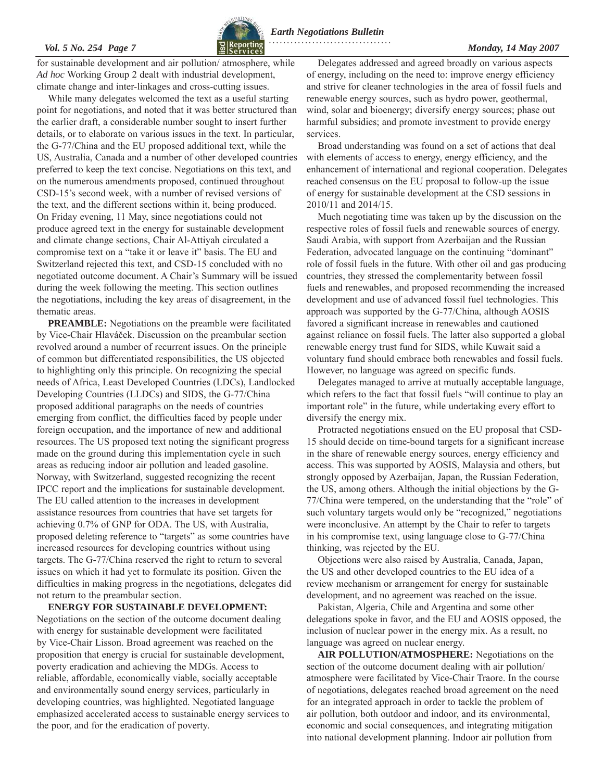for sustainable development and air pollution/ atmosphere, while *Ad hoc* Working Group 2 dealt with industrial development, climate change and inter-linkages and cross-cutting issues.

While many delegates welcomed the text as a useful starting point for negotiations, and noted that it was better structured than the earlier draft, a considerable number sought to insert further details, or to elaborate on various issues in the text. In particular, the G-77/China and the EU proposed additional text, while the US, Australia, Canada and a number of other developed countries preferred to keep the text concise. Negotiations on this text, and on the numerous amendments proposed, continued throughout CSD-15's second week, with a number of revised versions of the text, and the different sections within it, being produced. On Friday evening, 11 May, since negotiations could not produce agreed text in the energy for sustainable development and climate change sections, Chair Al-Attiyah circulated a compromise text on a "take it or leave it" basis. The EU and Switzerland rejected this text, and CSD-15 concluded with no negotiated outcome document. A Chair's Summary will be issued during the week following the meeting. This section outlines the negotiations, including the key areas of disagreement, in the thematic areas.

**PREAMBLE:** Negotiations on the preamble were facilitated by Vice-Chair Hlaváček. Discussion on the preambular section revolved around a number of recurrent issues. On the principle of common but differentiated responsibilities, the US objected to highlighting only this principle. On recognizing the special needs of Africa, Least Developed Countries (LDCs), Landlocked Developing Countries (LLDCs) and SIDS, the G-77/China proposed additional paragraphs on the needs of countries emerging from conflict, the difficulties faced by people under foreign occupation, and the importance of new and additional resources. The US proposed text noting the significant progress made on the ground during this implementation cycle in such areas as reducing indoor air pollution and leaded gasoline. Norway, with Switzerland, suggested recognizing the recent IPCC report and the implications for sustainable development. The EU called attention to the increases in development assistance resources from countries that have set targets for achieving 0.7% of GNP for ODA. The US, with Australia, proposed deleting reference to "targets" as some countries have increased resources for developing countries without using targets. The G-77/China reserved the right to return to several issues on which it had yet to formulate its position. Given the difficulties in making progress in the negotiations, delegates did not return to the preambular section.

**ENERGY FOR SUSTAINABLE DEVELOPMENT:**  Negotiations on the section of the outcome document dealing with energy for sustainable development were facilitated by Vice-Chair Lisson. Broad agreement was reached on the proposition that energy is crucial for sustainable development, poverty eradication and achieving the MDGs. Access to reliable, affordable, economically viable, socially acceptable and environmentally sound energy services, particularly in developing countries, was highlighted. Negotiated language emphasized accelerated access to sustainable energy services to the poor, and for the eradication of poverty.

Delegates addressed and agreed broadly on various aspects of energy, including on the need to: improve energy efficiency and strive for cleaner technologies in the area of fossil fuels and renewable energy sources, such as hydro power, geothermal, wind, solar and bioenergy; diversify energy sources; phase out harmful subsidies; and promote investment to provide energy services.

Broad understanding was found on a set of actions that deal with elements of access to energy, energy efficiency, and the enhancement of international and regional cooperation. Delegates reached consensus on the EU proposal to follow-up the issue of energy for sustainable development at the CSD sessions in 2010/11 and 2014/15.

Much negotiating time was taken up by the discussion on the respective roles of fossil fuels and renewable sources of energy. Saudi Arabia, with support from Azerbaijan and the Russian Federation, advocated language on the continuing "dominant" role of fossil fuels in the future. With other oil and gas producing countries, they stressed the complementarity between fossil fuels and renewables, and proposed recommending the increased development and use of advanced fossil fuel technologies. This approach was supported by the G-77/China, although AOSIS favored a significant increase in renewables and cautioned against reliance on fossil fuels. The latter also supported a global renewable energy trust fund for SIDS, while Kuwait said a voluntary fund should embrace both renewables and fossil fuels. However, no language was agreed on specific funds.

Delegates managed to arrive at mutually acceptable language, which refers to the fact that fossil fuels "will continue to play an important role" in the future, while undertaking every effort to diversify the energy mix.

Protracted negotiations ensued on the EU proposal that CSD-15 should decide on time-bound targets for a significant increase in the share of renewable energy sources, energy efficiency and access. This was supported by AOSIS, Malaysia and others, but strongly opposed by Azerbaijan, Japan, the Russian Federation, the US, among others. Although the initial objections by the G-77/China were tempered, on the understanding that the "role" of such voluntary targets would only be "recognized," negotiations were inconclusive. An attempt by the Chair to refer to targets in his compromise text, using language close to G-77/China thinking, was rejected by the EU.

Objections were also raised by Australia, Canada, Japan, the US and other developed countries to the EU idea of a review mechanism or arrangement for energy for sustainable development, and no agreement was reached on the issue.

Pakistan, Algeria, Chile and Argentina and some other delegations spoke in favor, and the EU and AOSIS opposed, the inclusion of nuclear power in the energy mix. As a result, no language was agreed on nuclear energy.

**AIR POLLUTION/ATMOSPHERE:** Negotiations on the section of the outcome document dealing with air pollution/ atmosphere were facilitated by Vice-Chair Traore. In the course of negotiations, delegates reached broad agreement on the need for an integrated approach in order to tackle the problem of air pollution, both outdoor and indoor, and its environmental, economic and social consequences, and integrating mitigation into national development planning. Indoor air pollution from



*Earth Negotiations Bulletin*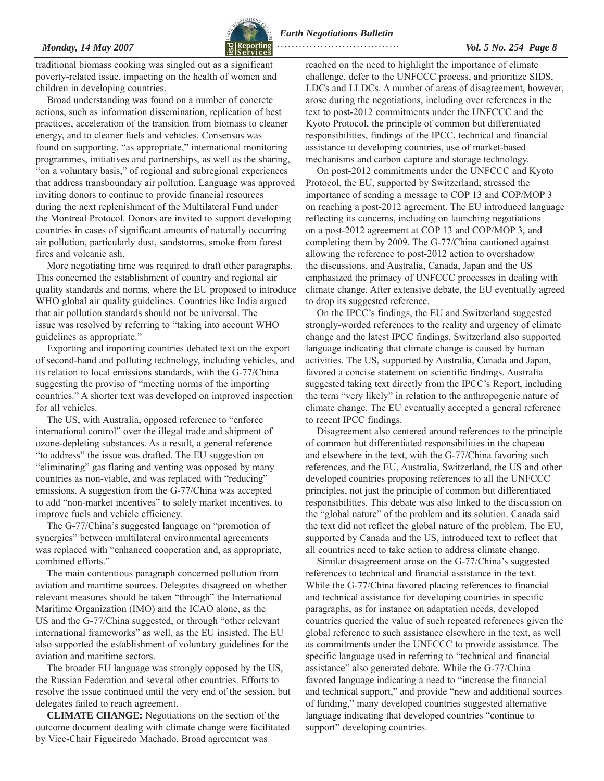

*Monday, 14 May 2007 Vol. 5 No. 254 Page 8*   **. . . . . . . . . . . . . . . . . . . . . . . . . . . . . . . . . .** 

traditional biomass cooking was singled out as a significant poverty-related issue, impacting on the health of women and children in developing countries.

Broad understanding was found on a number of concrete actions, such as information dissemination, replication of best practices, acceleration of the transition from biomass to cleaner energy, and to cleaner fuels and vehicles. Consensus was found on supporting, "as appropriate," international monitoring programmes, initiatives and partnerships, as well as the sharing, "on a voluntary basis," of regional and subregional experiences that address transboundary air pollution. Language was approved inviting donors to continue to provide financial resources during the next replenishment of the Multilateral Fund under the Montreal Protocol. Donors are invited to support developing countries in cases of significant amounts of naturally occurring air pollution, particularly dust, sandstorms, smoke from forest fires and volcanic ash.

More negotiating time was required to draft other paragraphs. This concerned the establishment of country and regional air quality standards and norms, where the EU proposed to introduce WHO global air quality guidelines. Countries like India argued that air pollution standards should not be universal. The issue was resolved by referring to "taking into account WHO guidelines as appropriate."

Exporting and importing countries debated text on the export of second-hand and polluting technology, including vehicles, and its relation to local emissions standards, with the G-77/China suggesting the proviso of "meeting norms of the importing countries." A shorter text was developed on improved inspection for all vehicles.

The US, with Australia, opposed reference to "enforce" international control" over the illegal trade and shipment of ozone-depleting substances. As a result, a general reference "to address" the issue was drafted. The EU suggestion on "eliminating" gas flaring and venting was opposed by many countries as non-viable, and was replaced with "reducing" emissions. A suggestion from the G-77/China was accepted to add "non-market incentives" to solely market incentives, to improve fuels and vehicle efficiency.

The G-77/China's suggested language on "promotion of synergies" between multilateral environmental agreements was replaced with "enhanced cooperation and, as appropriate, combined efforts."

The main contentious paragraph concerned pollution from aviation and maritime sources. Delegates disagreed on whether relevant measures should be taken "through" the International Maritime Organization (IMO) and the ICAO alone, as the US and the G-77/China suggested, or through "other relevant international frameworks" as well, as the EU insisted. The EU also supported the establishment of voluntary guidelines for the aviation and maritime sectors.

The broader EU language was strongly opposed by the US, the Russian Federation and several other countries. Efforts to resolve the issue continued until the very end of the session, but delegates failed to reach agreement.

**CLIMATE CHANGE:** Negotiations on the section of the outcome document dealing with climate change were facilitated by Vice-Chair Figueiredo Machado. Broad agreement was

reached on the need to highlight the importance of climate challenge, defer to the UNFCCC process, and prioritize SIDS, LDCs and LLDCs. A number of areas of disagreement, however, arose during the negotiations, including over references in the text to post-2012 commitments under the UNFCCC and the Kyoto Protocol, the principle of common but differentiated responsibilities, findings of the IPCC, technical and financial assistance to developing countries, use of market-based mechanisms and carbon capture and storage technology.

On post-2012 commitments under the UNFCCC and Kyoto Protocol, the EU, supported by Switzerland, stressed the importance of sending a message to COP 13 and COP/MOP 3 on reaching a post-2012 agreement. The EU introduced language reflecting its concerns, including on launching negotiations on a post-2012 agreement at COP 13 and COP/MOP 3, and completing them by 2009. The G-77/China cautioned against allowing the reference to post-2012 action to overshadow the discussions, and Australia, Canada, Japan and the US emphasized the primacy of UNFCCC processes in dealing with climate change. After extensive debate, the EU eventually agreed to drop its suggested reference.

On the IPCC's findings, the EU and Switzerland suggested strongly-worded references to the reality and urgency of climate change and the latest IPCC findings. Switzerland also supported language indicating that climate change is caused by human activities. The US, supported by Australia, Canada and Japan, favored a concise statement on scientific findings. Australia suggested taking text directly from the IPCC's Report, including the term "very likely" in relation to the anthropogenic nature of climate change. The EU eventually accepted a general reference to recent IPCC findings.

Disagreement also centered around references to the principle of common but differentiated responsibilities in the chapeau and elsewhere in the text, with the G-77/China favoring such references, and the EU, Australia, Switzerland, the US and other developed countries proposing references to all the UNFCCC principles, not just the principle of common but differentiated responsibilities. This debate was also linked to the discussion on the "global nature" of the problem and its solution. Canada said the text did not reflect the global nature of the problem. The EU, supported by Canada and the US, introduced text to reflect that all countries need to take action to address climate change.

Similar disagreement arose on the G-77/China's suggested references to technical and financial assistance in the text. While the G-77/China favored placing references to financial and technical assistance for developing countries in specific paragraphs, as for instance on adaptation needs, developed countries queried the value of such repeated references given the global reference to such assistance elsewhere in the text, as well as commitments under the UNFCCC to provide assistance. The specific language used in referring to "technical and financial assistance" also generated debate. While the G-77/China favored language indicating a need to "increase the financial and technical support," and provide "new and additional sources of funding," many developed countries suggested alternative language indicating that developed countries "continue to support" developing countries.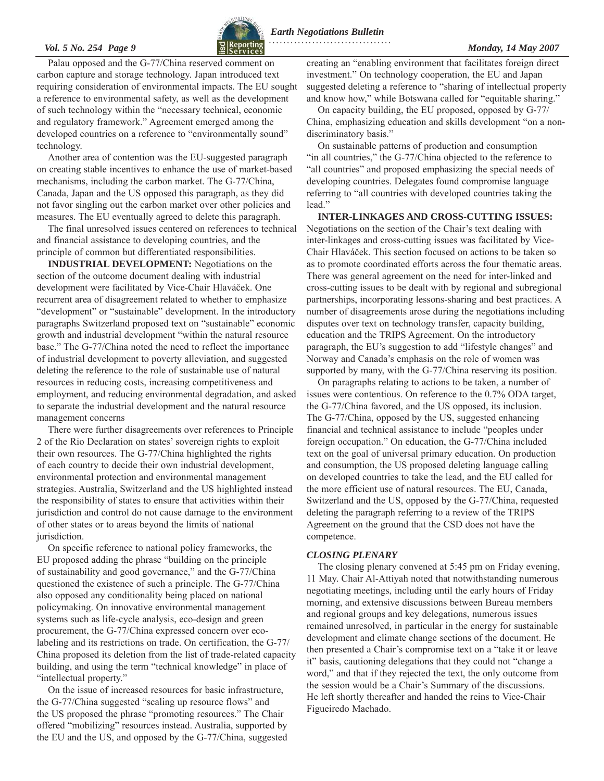

<span id="page-8-0"></span>Palau opposed and the G-77/China reserved comment on carbon capture and storage technology. Japan introduced text requiring consideration of environmental impacts. The EU sought a reference to environmental safety, as well as the development of such technology within the "necessary technical, economic and regulatory framework." Agreement emerged among the developed countries on a reference to "environmentally sound" technology.

Another area of contention was the EU-suggested paragraph on creating stable incentives to enhance the use of market-based mechanisms, including the carbon market. The G-77/China, Canada, Japan and the US opposed this paragraph, as they did not favor singling out the carbon market over other policies and measures. The EU eventually agreed to delete this paragraph.

The final unresolved issues centered on references to technical and financial assistance to developing countries, and the principle of common but differentiated responsibilities.

**INDUSTRIAL DEVELOPMENT:** Negotiations on the section of the outcome document dealing with industrial development were facilitated by Vice-Chair Hlaváček. One recurrent area of disagreement related to whether to emphasize "development" or "sustainable" development. In the introductory paragraphs Switzerland proposed text on "sustainable" economic growth and industrial development "within the natural resource base." The G-77/China noted the need to reflect the importance of industrial development to poverty alleviation, and suggested deleting the reference to the role of sustainable use of natural resources in reducing costs, increasing competitiveness and employment, and reducing environmental degradation, and asked to separate the industrial development and the natural resource management concerns

There were further disagreements over references to Principle 2 of the Rio Declaration on states' sovereign rights to exploit their own resources. The G-77/China highlighted the rights of each country to decide their own industrial development, environmental protection and environmental management strategies. Australia, Switzerland and the US highlighted instead the responsibility of states to ensure that activities within their jurisdiction and control do not cause damage to the environment of other states or to areas beyond the limits of national jurisdiction.

On specific reference to national policy frameworks, the EU proposed adding the phrase "building on the principle" of sustainability and good governance," and the G-77/China questioned the existence of such a principle. The G-77/China also opposed any conditionality being placed on national policymaking. On innovative environmental management systems such as life-cycle analysis, eco-design and green procurement, the G-77/China expressed concern over ecolabeling and its restrictions on trade. On certification, the G-77/ China proposed its deletion from the list of trade-related capacity building, and using the term "technical knowledge" in place of "intellectual property."

On the issue of increased resources for basic infrastructure, the G-77/China suggested "scaling up resource flows" and the US proposed the phrase "promoting resources." The Chair offered "mobilizing" resources instead. Australia, supported by the EU and the US, and opposed by the G-77/China, suggested

creating an "enabling environment that facilitates foreign direct investment." On technology cooperation, the EU and Japan suggested deleting a reference to "sharing of intellectual property and know how," while Botswana called for "equitable sharing."

On capacity building, the EU proposed, opposed by G-77/ China, emphasizing education and skills development "on a nondiscriminatory basis."

On sustainable patterns of production and consumption "in all countries," the G-77/China objected to the reference to "all countries" and proposed emphasizing the special needs of developing countries. Delegates found compromise language referring to "all countries with developed countries taking the lead."

**INTER-LINKAGES AND CROSS-CUTTING ISSUES:**  Negotiations on the section of the Chair's text dealing with inter-linkages and cross-cutting issues was facilitated by Vice-Chair Hlaváček. This section focused on actions to be taken so as to promote coordinated efforts across the four thematic areas. There was general agreement on the need for inter-linked and cross-cutting issues to be dealt with by regional and subregional partnerships, incorporating lessons-sharing and best practices. A number of disagreements arose during the negotiations including disputes over text on technology transfer, capacity building, education and the TRIPS Agreement. On the introductory paragraph, the EU's suggestion to add "lifestyle changes" and Norway and Canada's emphasis on the role of women was supported by many, with the G-77/China reserving its position.

On paragraphs relating to actions to be taken, a number of issues were contentious. On reference to the 0.7% ODA target, the G-77/China favored, and the US opposed, its inclusion. The G-77/China, opposed by the US, suggested enhancing financial and technical assistance to include "peoples under foreign occupation." On education, the G-77/China included text on the goal of universal primary education. On production and consumption, the US proposed deleting language calling on developed countries to take the lead, and the EU called for the more efficient use of natural resources. The EU, Canada, Switzerland and the US, opposed by the G-77/China, requested deleting the paragraph referring to a review of the TRIPS Agreement on the ground that the CSD does not have the competence.

#### *CLOSING PLENARY*

The closing plenary convened at 5:45 pm on Friday evening, 11 May. Chair Al-Attiyah noted that notwithstanding numerous negotiating meetings, including until the early hours of Friday morning, and extensive discussions between Bureau members and regional groups and key delegations, numerous issues remained unresolved, in particular in the energy for sustainable development and climate change sections of the document. He then presented a Chair's compromise text on a "take it or leave it" basis, cautioning delegations that they could not "change a word," and that if they rejected the text, the only outcome from the session would be a Chair's Summary of the discussions. He left shortly thereafter and handed the reins to Vice-Chair Figueiredo Machado.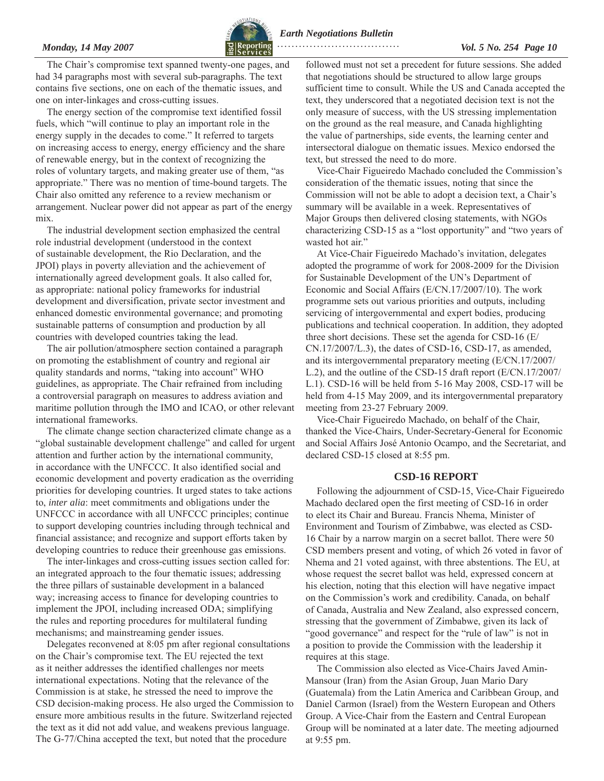

<span id="page-9-0"></span>*Monday, 14 May 2007 Vol. 5 No. 254 Page 10*   **. . . . . . . . . . . . . . . . . . . . . . . . . . . . . . . . . .** 

The Chair's compromise text spanned twenty-one pages, and had 34 paragraphs most with several sub-paragraphs. The text contains five sections, one on each of the thematic issues, and one on inter-linkages and cross-cutting issues.

The energy section of the compromise text identified fossil fuels, which "will continue to play an important role in the energy supply in the decades to come." It referred to targets on increasing access to energy, energy efficiency and the share of renewable energy, but in the context of recognizing the roles of voluntary targets, and making greater use of them, "as appropriate." There was no mention of time-bound targets. The Chair also omitted any reference to a review mechanism or arrangement. Nuclear power did not appear as part of the energy mix.

The industrial development section emphasized the central role industrial development (understood in the context of sustainable development, the Rio Declaration, and the JPOI) plays in poverty alleviation and the achievement of internationally agreed development goals. It also called for, as appropriate: national policy frameworks for industrial development and diversification, private sector investment and enhanced domestic environmental governance; and promoting sustainable patterns of consumption and production by all countries with developed countries taking the lead.

The air pollution/atmosphere section contained a paragraph on promoting the establishment of country and regional air quality standards and norms, "taking into account" WHO guidelines, as appropriate. The Chair refrained from including a controversial paragraph on measures to address aviation and maritime pollution through the IMO and ICAO, or other relevant international frameworks.

The climate change section characterized climate change as a "global sustainable development challenge" and called for urgent attention and further action by the international community, in accordance with the UNFCCC. It also identified social and economic development and poverty eradication as the overriding priorities for developing countries. It urged states to take actions to, *inter alia*: meet commitments and obligations under the UNFCCC in accordance with all UNFCCC principles; continue to support developing countries including through technical and financial assistance; and recognize and support efforts taken by developing countries to reduce their greenhouse gas emissions.

The inter-linkages and cross-cutting issues section called for: an integrated approach to the four thematic issues; addressing the three pillars of sustainable development in a balanced way; increasing access to finance for developing countries to implement the JPOI, including increased ODA; simplifying the rules and reporting procedures for multilateral funding mechanisms; and mainstreaming gender issues.

Delegates reconvened at 8:05 pm after regional consultations on the Chair's compromise text. The EU rejected the text as it neither addresses the identified challenges nor meets international expectations. Noting that the relevance of the Commission is at stake, he stressed the need to improve the CSD decision-making process. He also urged the Commission to ensure more ambitious results in the future. Switzerland rejected the text as it did not add value, and weakens previous language. The G-77/China accepted the text, but noted that the procedure

followed must not set a precedent for future sessions. She added that negotiations should be structured to allow large groups sufficient time to consult. While the US and Canada accepted the text, they underscored that a negotiated decision text is not the only measure of success, with the US stressing implementation on the ground as the real measure, and Canada highlighting the value of partnerships, side events, the learning center and intersectoral dialogue on thematic issues. Mexico endorsed the text, but stressed the need to do more.

Vice-Chair Figueiredo Machado concluded the Commission's consideration of the thematic issues, noting that since the Commission will not be able to adopt a decision text, a Chair's summary will be available in a week. Representatives of Major Groups then delivered closing statements, with NGOs characterizing CSD-15 as a "lost opportunity" and "two years of wasted hot air."

At Vice-Chair Figueiredo Machado's invitation, delegates adopted the programme of work for 2008-2009 for the Division for Sustainable Development of the UN's Department of Economic and Social Affairs (E/CN.17/2007/10). The work programme sets out various priorities and outputs, including servicing of intergovernmental and expert bodies, producing publications and technical cooperation. In addition, they adopted three short decisions. These set the agenda for CSD-16 (E/ CN.17/2007/L.3), the dates of CSD-16, CSD-17, as amended, and its intergovernmental preparatory meeting (E/CN.17/2007/ L.2), and the outline of the CSD-15 draft report (E/CN.17/2007/ L.1). CSD-16 will be held from 5-16 May 2008, CSD-17 will be held from 4-15 May 2009, and its intergovernmental preparatory meeting from 23-27 February 2009.

Vice-Chair Figueiredo Machado, on behalf of the Chair, thanked the Vice-Chairs, Under-Secretary-General for Economic and Social Affairs JosÈ Antonio Ocampo, and the Secretariat, and declared CSD-15 closed at 8:55 pm.

### **CSD-16 REPORT**

Following the adjournment of CSD-15, Vice-Chair Figueiredo Machado declared open the first meeting of CSD-16 in order to elect its Chair and Bureau. Francis Nhema, Minister of Environment and Tourism of Zimbabwe, was elected as CSD-16 Chair by a narrow margin on a secret ballot. There were 50 CSD members present and voting, of which 26 voted in favor of Nhema and 21 voted against, with three abstentions. The EU, at whose request the secret ballot was held, expressed concern at his election, noting that this election will have negative impact on the Commission's work and credibility. Canada, on behalf of Canada, Australia and New Zealand, also expressed concern, stressing that the government of Zimbabwe, given its lack of "good governance" and respect for the "rule of law" is not in a position to provide the Commission with the leadership it requires at this stage.

The Commission also elected as Vice-Chairs Javed Amin-Mansour (Iran) from the Asian Group, Juan Mario Dary (Guatemala) from the Latin America and Caribbean Group, and Daniel Carmon (Israel) from the Western European and Others Group. A Vice-Chair from the Eastern and Central European Group will be nominated at a later date. The meeting adjourned at 9:55 pm.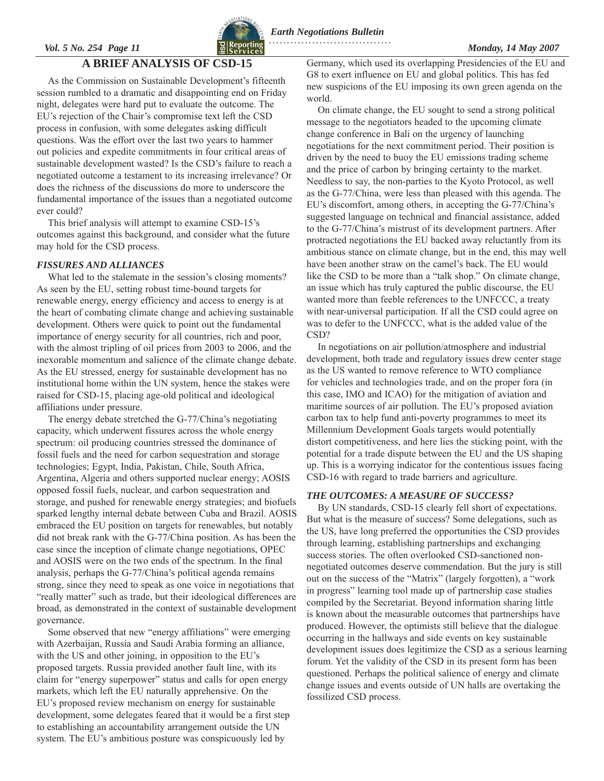#### <span id="page-10-0"></span>*Vol. 5 No. 254 Page 11 Monday, 14 May 2007* **. . . . . . . . . . . . . . . . . . . . . . . . . . . . . . . . . .**



## **A BRIEF ANALYSIS OF CSD-15**

As the Commission on Sustainable Development's fifteenth session rumbled to a dramatic and disappointing end on Friday night, delegates were hard put to evaluate the outcome. The EU's rejection of the Chair's compromise text left the CSD process in confusion, with some delegates asking difficult questions. Was the effort over the last two years to hammer out policies and expedite commitments in four critical areas of sustainable development wasted? Is the CSD's failure to reach a negotiated outcome a testament to its increasing irrelevance? Or does the richness of the discussions do more to underscore the fundamental importance of the issues than a negotiated outcome ever could?

This brief analysis will attempt to examine CSD-15's outcomes against this background, and consider what the future may hold for the CSD process.

#### *FISSURES AND ALLIANCES*

What led to the stalemate in the session's closing moments? As seen by the EU, setting robust time-bound targets for renewable energy, energy efficiency and access to energy is at the heart of combating climate change and achieving sustainable development. Others were quick to point out the fundamental importance of energy security for all countries, rich and poor, with the almost tripling of oil prices from 2003 to 2006, and the inexorable momentum and salience of the climate change debate. As the EU stressed, energy for sustainable development has no institutional home within the UN system, hence the stakes were raised for CSD-15, placing age-old political and ideological affiliations under pressure.

The energy debate stretched the G-77/China's negotiating capacity, which underwent fissures across the whole energy spectrum: oil producing countries stressed the dominance of fossil fuels and the need for carbon sequestration and storage technologies; Egypt, India, Pakistan, Chile, South Africa, Argentina, Algeria and others supported nuclear energy; AOSIS opposed fossil fuels, nuclear, and carbon sequestration and storage, and pushed for renewable energy strategies; and biofuels sparked lengthy internal debate between Cuba and Brazil. AOSIS embraced the EU position on targets for renewables, but notably did not break rank with the G-77/China position. As has been the case since the inception of climate change negotiations, OPEC and AOSIS were on the two ends of the spectrum. In the final analysis, perhaps the G-77/China's political agenda remains strong, since they need to speak as one voice in negotiations that "really matter" such as trade, but their ideological differences are broad, as demonstrated in the context of sustainable development governance.

Some observed that new "energy affiliations" were emerging with Azerbaijan, Russia and Saudi Arabia forming an alliance, with the US and other joining, in opposition to the EU's proposed targets. Russia provided another fault line, with its claim for "energy superpower" status and calls for open energy markets, which left the EU naturally apprehensive. On the EU's proposed review mechanism on energy for sustainable development, some delegates feared that it would be a first step to establishing an accountability arrangement outside the UN system. The EU's ambitious posture was conspicuously led by

Germany, which used its overlapping Presidencies of the EU and G8 to exert influence on EU and global politics. This has fed new suspicions of the EU imposing its own green agenda on the world.

On climate change, the EU sought to send a strong political message to the negotiators headed to the upcoming climate change conference in Bali on the urgency of launching negotiations for the next commitment period. Their position is driven by the need to buoy the EU emissions trading scheme and the price of carbon by bringing certainty to the market. Needless to say, the non-parties to the Kyoto Protocol, as well as the G-77/China, were less than pleased with this agenda. The EU's discomfort, among others, in accepting the G-77/China's suggested language on technical and financial assistance, added to the G-77/China's mistrust of its development partners. After protracted negotiations the EU backed away reluctantly from its ambitious stance on climate change, but in the end, this may well have been another straw on the camel's back. The EU would like the CSD to be more than a "talk shop." On climate change, an issue which has truly captured the public discourse, the EU wanted more than feeble references to the UNFCCC, a treaty with near-universal participation. If all the CSD could agree on was to defer to the UNFCCC, what is the added value of the CSD?

In negotiations on air pollution/atmosphere and industrial development, both trade and regulatory issues drew center stage as the US wanted to remove reference to WTO compliance for vehicles and technologies trade, and on the proper fora (in this case, IMO and ICAO) for the mitigation of aviation and maritime sources of air pollution. The EU's proposed aviation carbon tax to help fund anti-poverty programmes to meet its Millennium Development Goals targets would potentially distort competitiveness, and here lies the sticking point, with the potential for a trade dispute between the EU and the US shaping up. This is a worrying indicator for the contentious issues facing CSD-16 with regard to trade barriers and agriculture.

#### *THE OUTCOMES: A MEASURE OF SUCCESS?*

By UN standards, CSD-15 clearly fell short of expectations. But what is the measure of success? Some delegations, such as the US, have long preferred the opportunities the CSD provides through learning, establishing partnerships and exchanging success stories. The often overlooked CSD-sanctioned nonnegotiated outcomes deserve commendation. But the jury is still out on the success of the "Matrix" (largely forgotten), a "work in progress" learning tool made up of partnership case studies compiled by the Secretariat. Beyond information sharing little is known about the measurable outcomes that partnerships have produced. However, the optimists still believe that the dialogue occurring in the hallways and side events on key sustainable development issues does legitimize the CSD as a serious learning forum. Yet the validity of the CSD in its present form has been questioned. Perhaps the political salience of energy and climate change issues and events outside of UN halls are overtaking the fossilized CSD process.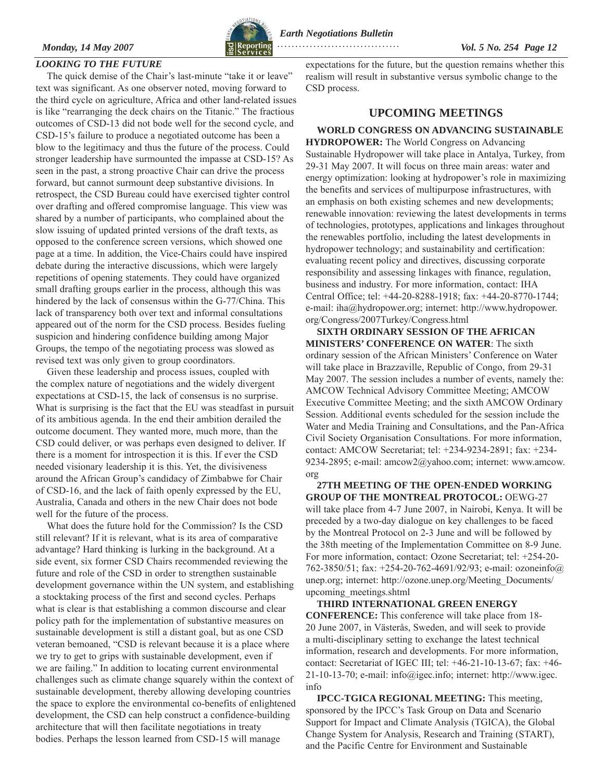

<span id="page-11-0"></span>*Monday, 14 May 2007 Vol. 5 No. 254 Page 12*   **. . . . . . . . . . . . . . . . . . . . . . . . . . . . . . . . . .** 

### *LOOKING TO THE FUTURE*

The quick demise of the Chair's last-minute "take it or leave" text was significant. As one observer noted, moving forward to the third cycle on agriculture, Africa and other land-related issues is like "rearranging the deck chairs on the Titanic." The fractious outcomes of CSD-13 did not bode well for the second cycle, and CSD-15's failure to produce a negotiated outcome has been a blow to the legitimacy and thus the future of the process. Could stronger leadership have surmounted the impasse at CSD-15? As seen in the past, a strong proactive Chair can drive the process forward, but cannot surmount deep substantive divisions. In retrospect, the CSD Bureau could have exercised tighter control over drafting and offered compromise language. This view was shared by a number of participants, who complained about the slow issuing of updated printed versions of the draft texts, as opposed to the conference screen versions, which showed one page at a time. In addition, the Vice-Chairs could have inspired debate during the interactive discussions, which were largely repetitions of opening statements. They could have organized small drafting groups earlier in the process, although this was hindered by the lack of consensus within the G-77/China. This lack of transparency both over text and informal consultations appeared out of the norm for the CSD process. Besides fueling suspicion and hindering confidence building among Major Groups, the tempo of the negotiating process was slowed as revised text was only given to group coordinators.

Given these leadership and process issues, coupled with the complex nature of negotiations and the widely divergent expectations at CSD-15, the lack of consensus is no surprise. What is surprising is the fact that the EU was steadfast in pursuit of its ambitious agenda. In the end their ambition derailed the outcome document. They wanted more, much more, than the CSD could deliver, or was perhaps even designed to deliver. If there is a moment for introspection it is this. If ever the CSD needed visionary leadership it is this. Yet, the divisiveness around the African Group's candidacy of Zimbabwe for Chair of CSD-16, and the lack of faith openly expressed by the EU, Australia, Canada and others in the new Chair does not bode well for the future of the process.

What does the future hold for the Commission? Is the CSD still relevant? If it is relevant, what is its area of comparative advantage? Hard thinking is lurking in the background. At a side event, six former CSD Chairs recommended reviewing the future and role of the CSD in order to strengthen sustainable development governance within the UN system, and establishing a stocktaking process of the first and second cycles. Perhaps what is clear is that establishing a common discourse and clear policy path for the implementation of substantive measures on sustainable development is still a distant goal, but as one CSD veteran bemoaned, "CSD is relevant because it is a place where we try to get to grips with sustainable development, even if we are failing." In addition to locating current environmental challenges such as climate change squarely within the context of sustainable development, thereby allowing developing countries the space to explore the environmental co-benefits of enlightened development, the CSD can help construct a confidence-building architecture that will then facilitate negotiations in treaty bodies. Perhaps the lesson learned from CSD-15 will manage

expectations for the future, but the question remains whether this realism will result in substantive versus symbolic change to the CSD process.

### **UPCOMING MEETINGS**

**WORLD CONGRESS ON ADVANCING SUSTAINABLE HYDROPOWER:** The World Congress on Advancing Sustainable Hydropower will take place in Antalya, Turkey, from 29-31 May 2007. It will focus on three main areas: water and energy optimization: looking at hydropower's role in maximizing the benefits and services of multipurpose infrastructures, with an emphasis on both existing schemes and new developments; renewable innovation: reviewing the latest developments in terms of technologies, prototypes, applications and linkages throughout the renewables portfolio, including the latest developments in hydropower technology; and sustainability and certification: evaluating recent policy and directives, discussing corporate responsibility and assessing linkages with finance, regulation, business and industry. For more information, contact: IHA Central Office; tel: +44-20-8288-1918; fax: +44-20-8770-1744; e-mail: [iha@hydropower.org;](mailto:iha@hydropower.org) internet: [http://www.hydropower.](http://www.hydropower.org/Congress/2007Turkey/Congress.html) [org/Congress/2007Turkey/Congress.html](http://www.hydropower.org/Congress/2007Turkey/Congress.html)

**SIXTH ORDINARY SESSION OF THE AFRICAN MINISTERS' CONFERENCE ON WATER**: The sixth ordinary session of the African Ministers' Conference on Water will take place in Brazzaville, Republic of Congo, from 29-31 May 2007. The session includes a number of events, namely the: AMCOW Technical Advisory Committee Meeting; AMCOW Executive Committee Meeting; and the sixth AMCOW Ordinary Session. Additional events scheduled for the session include the Water and Media Training and Consultations, and the Pan-Africa Civil Society Organisation Consultations. For more information, contact: AMCOW Secretariat; tel: +234-9234-2891; fax: +234- 9234-2895; e-mail: [amcow2@yahoo.com](mailto:amcow2@yahoo.com); internet: [www.amcow.](http://www.amcow.org) [org](http://www.amcow.org)

**27TH MEETING OF THE OPEN-ENDED WORKING GROUP OF THE MONTREAL PROTOCOL:** OEWG-27 will take place from 4-7 June 2007, in Nairobi, Kenya. It will be preceded by a two-day dialogue on key challenges to be faced by the Montreal Protocol on 2-3 June and will be followed by the 38th meeting of the Implementation Committee on 8-9 June. For more information, contact: Ozone Secretariat; tel: +254-20- 762-3850/51; fax: +254-20-762-4691/92/93; e-mail: [ozoneinfo@](mailto:ozoneinfo@unep.org) [unep.org;](mailto:ozoneinfo@unep.org) internet: [http://ozone.unep.org/Meeting\\_Documents/](http://ozone.unep.org/Meeting_Documents/upcoming_meetings.shtml) [upcoming\\_meetings.shtml](http://ozone.unep.org/Meeting_Documents/upcoming_meetings.shtml)

**THIRD INTERNATIONAL GREEN ENERGY CONFERENCE:** This conference will take place from 18- 20 June 2007, in Västerås, Sweden, and will seek to provide a multi-disciplinary setting to exchange the latest technical information, research and developments. For more information, contact: Secretariat of IGEC III; tel: +46-21-10-13-67; fax: +46- 21-10-13-70; e-mail: [info@igec.info;](mailto:info@igec.info) internet: [http://www.igec.](http://www.igec.info) [info](http://www.igec.info)

**IPCC-TGICA REGIONAL MEETING:** This meeting, sponsored by the IPCC's Task Group on Data and Scenario Support for Impact and Climate Analysis (TGICA), the Global Change System for Analysis, Research and Training (START), and the Pacific Centre for Environment and Sustainable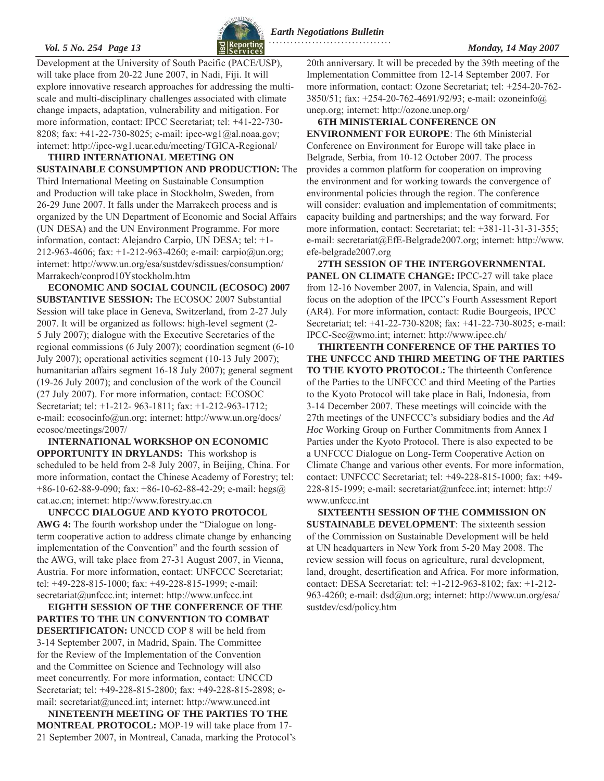### Vol. 5 No. 254 Page 13 **Monday, 14 May 2007**

*Earth Negotiations Bulletin*

Development at the University of South Pacific (PACE/USP), will take place from 20-22 June 2007, in Nadi, Fiji. It will explore innovative research approaches for addressing the multiscale and multi-disciplinary challenges associated with climate change impacts, adaptation, vulnerability and mitigation. For more information, contact: IPCC Secretariat; tel: +41-22-730- 8208; fax: +41-22-730-8025; e-mail: [ipcc-wg1@al.noaa.gov;](mailto:ipcc-wg1@al.noaa.gov) internet: [http://ipcc-wg1.ucar.edu/meeting/TGICA-Regional/](http://ipcc-wg1.ucar.edu/meeting/TGICA-Regional)

**THIRD INTERNATIONAL MEETING ON SUSTAINABLE CONSUMPTION AND PRODUCTION:** The Third International Meeting on Sustainable Consumption and Production will take place in Stockholm, Sweden, from 26-29 June 2007. It falls under the Marrakech process and is organized by the UN Department of Economic and Social Affairs (UN DESA) and the UN Environment Programme. For more information, contact: Alejandro Carpio, UN DESA; tel: +1- 212-963-4606; fax: +1-212-963-4260; e-mail: [carpio@un.org;](mailto:carpio@un.org) internet: [http://www.un.org/esa/sustdev/sdissues/consumption/](http://www.un.org/esa/sustdev/sdissues/consumption/Marrakech/conprod10Ystockholm.htm) [Marrakech/conprod10Ystockholm.htm](http://www.un.org/esa/sustdev/sdissues/consumption/Marrakech/conprod10Ystockholm.htm) 

**ECONOMIC AND SOCIAL COUNCIL (ECOSOC) 2007 SUBSTANTIVE SESSION:** The ECOSOC 2007 Substantial Session will take place in Geneva, Switzerland, from 2-27 July 2007. It will be organized as follows: high-level segment (2- 5 July 2007); dialogue with the Executive Secretaries of the regional commissions (6 July 2007); coordination segment (6-10 July 2007); operational activities segment (10-13 July 2007); humanitarian affairs segment 16-18 July 2007); general segment (19-26 July 2007); and conclusion of the work of the Council (27 July 2007). For more information, contact: ECOSOC Secretariat; tel: +1-212- 963-1811; fax: +1-212-963-1712; e-mail: [ecosocinfo@un.org;](mailto:ecosocinfo@un.org) internet: [http://www.un.org/docs/](http://www.un.org/docs/ecosoc/meetings/2007/) [ecosoc/meetings/2007/](http://www.un.org/docs/ecosoc/meetings/2007/) 

**INTERNATIONAL WORKSHOP ON ECONOMIC OPPORTUNITY IN DRYLANDS:** This workshop is scheduled to be held from 2-8 July 2007, in Beijing, China. For more information, contact the Chinese Academy of Forestry; tel: +86-10-62-88-9-090; fax: +86-10-62-88-42-29; e-mail: [hegs@](mailto:hegs@cat.ac.cn) [cat.ac.cn;](mailto:hegs@cat.ac.cn) internet: http://[www.forestry.ac.cn](http://www.forestry.ac.cn)

**UNFCCC DIALOGUE AND KYOTO PROTOCOL**  AWG 4: The fourth workshop under the "Dialogue on longterm cooperative action to address climate change by enhancing implementation of the Convention" and the fourth session of the AWG, will take place from 27-31 August 2007, in Vienna, Austria. For more information, contact: UNFCCC Secretariat; tel: +49-228-815-1000; fax: +49-228-815-1999; e-mail: [secretariat@unfccc.int;](mailto:secretariat@unfccc.int) internet:<http://www.unfccc.int>

**EIGHTH SESSION OF THE CONFERENCE OF THE PARTIES TO THE UN CONVENTION TO COMBAT DESERTIFICATON:** UNCCD COP 8 will be held from 3-14 September 2007, in Madrid, Spain. The Committee for the Review of the Implementation of the Convention and the Committee on Science and Technology will also meet concurrently. For more information, contact: UNCCD Secretariat; tel: +49-228-815-2800; fax: +49-228-815-2898; email: [secretariat@unccd.int;](mailto:secretariat@unccd.int) internet:<http://www.unccd.int>

**NINETEENTH MEETING OF THE PARTIES TO THE MONTREAL PROTOCOL:** MOP-19 will take place from 17- 21 September 2007, in Montreal, Canada, marking the Protocol's

20th anniversary. It will be preceded by the 39th meeting of the Implementation Committee from 12-14 September 2007. For more information, contact: Ozone Secretariat; tel: +254-20-762- 3850/51; fax: +254-20-762-4691/92/93; e-mail: [ozoneinfo@](mailto:ozoneinfo@unep.org) [unep.org;](mailto:ozoneinfo@unep.org) internet: [http://ozone.unep.org/](http://ozone.unep.org)

**6TH MINISTERIAL CONFERENCE ON ENVIRONMENT FOR EUROPE**: The 6th Ministerial Conference on Environment for Europe will take place in Belgrade, Serbia, from 10-12 October 2007. The process provides a common platform for cooperation on improving the environment and for working towards the convergence of environmental policies through the region. The conference will consider: evaluation and implementation of commitments; capacity building and partnerships; and the way forward. For more information, contact: Secretariat; tel: +381-11-31-31-355; e-mail: [secretariat@EfE-Belgrade2007.org;](mailto:secretariat@EfE-Belgrade2007.org) internet: [http://www.](http://www.efe-belgrade2007.org) [efe-belgrade2007.org](http://www.efe-belgrade2007.org) 

**27TH SESSION OF THE INTERGOVERNMENTAL PANEL ON CLIMATE CHANGE:** IPCC-27 will take place from 12-16 November 2007, in Valencia, Spain, and will focus on the adoption of the IPCC's Fourth Assessment Report (AR4). For more information, contact: Rudie Bourgeois, IPCC Secretariat; tel: +41-22-730-8208; fax: +41-22-730-8025; e-mail: [IPCC-Sec@wmo.int;](mailto:IPCC-Sec@wmo.int) internet: [http://www.ipcc.ch/](http://www.ipcc.ch)

**THIRTEENTH CONFERENCE OF THE PARTIES TO THE UNFCCC AND THIRD MEETING OF THE PARTIES TO THE KYOTO PROTOCOL:** The thirteenth Conference of the Parties to the UNFCCC and third Meeting of the Parties to the Kyoto Protocol will take place in Bali, Indonesia, from 3-14 December 2007. These meetings will coincide with the 27th meetings of the UNFCCC's subsidiary bodies and the *Ad Hoc* Working Group on Further Commitments from Annex I Parties under the Kyoto Protocol. There is also expected to be a UNFCCC Dialogue on Long-Term Cooperative Action on Climate Change and various other events. For more information, contact: UNFCCC Secretariat; tel: +49-228-815-1000; fax: +49- 228-815-1999; e-mail: [secretariat@unfccc.int;](mailto:secretariat@unfccc.int) internet: [http://](http://www.unfccc.int) [www.unfccc.int](http://www.unfccc.int) 

**SIXTEENTH SESSION OF THE COMMISSION ON SUSTAINABLE DEVELOPMENT**: The sixteenth session of the Commission on Sustainable Development will be held at UN headquarters in New York from 5-20 May 2008. The review session will focus on agriculture, rural development, land, drought, desertification and Africa. For more information, contact: DESA Secretariat: tel: +1-212-963-8102; fax: +1-212- 963-4260; e-mail: [dsd@un.org;](mailto:dsd@un.org) internet: [http://www.un.org/esa/](http://www.un.org/esa/sustdev/csd/policy.htm) [sustdev/csd/policy.htm](http://www.un.org/esa/sustdev/csd/policy.htm)